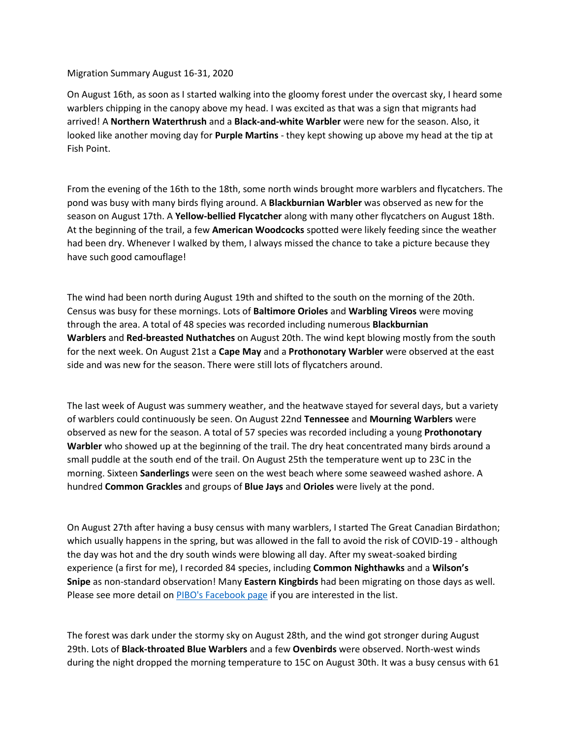## Migration Summary August 16-31, 2020

On August 16th, as soon as I started walking into the gloomy forest under the overcast sky, I heard some warblers chipping in the canopy above my head. I was excited as that was a sign that migrants had arrived! A **Northern Waterthrush** and a **Black-and-white Warbler** were new for the season. Also, it looked like another moving day for **Purple Martins** - they kept showing up above my head at the tip at Fish Point.

From the evening of the 16th to the 18th, some north winds brought more warblers and flycatchers. The pond was busy with many birds flying around. A **Blackburnian Warbler** was observed as new for the season on August 17th. A **Yellow-bellied Flycatcher** along with many other flycatchers on August 18th. At the beginning of the trail, a few **American Woodcocks** spotted were likely feeding since the weather had been dry. Whenever I walked by them, I always missed the chance to take a picture because they have such good camouflage!

The wind had been north during August 19th and shifted to the south on the morning of the 20th. Census was busy for these mornings. Lots of **Baltimore Orioles** and **Warbling Vireos** were moving through the area. A total of 48 species was recorded including numerous **Blackburnian Warblers** and **Red-breasted Nuthatches** on August 20th. The wind kept blowing mostly from the south for the next week. On August 21st a **Cape May** and a **Prothonotary Warbler** were observed at the east side and was new for the season. There were still lots of flycatchers around.

The last week of August was summery weather, and the heatwave stayed for several days, but a variety of warblers could continuously be seen. On August 22nd **Tennessee** and **Mourning Warblers** were observed as new for the season. A total of 57 species was recorded including a young **Prothonotary Warbler** who showed up at the beginning of the trail. The dry heat concentrated many birds around a small puddle at the south end of the trail. On August 25th the temperature went up to 23C in the morning. Sixteen **Sanderlings** were seen on the west beach where some seaweed washed ashore. A hundred **Common Grackles** and groups of **Blue Jays** and **Orioles** were lively at the pond.

On August 27th after having a busy census with many warblers, I started The Great Canadian Birdathon; which usually happens in the spring, but was allowed in the fall to avoid the risk of COVID-19 - although the day was hot and the dry south winds were blowing all day. After my sweat-soaked birding experience (a first for me), I recorded 84 species, including **Common Nighthawks** and a **Wilson's Snipe** as non-standard observation! Many **Eastern Kingbirds** had been migrating on those days as well. Please see more detail on [PIBO's Facebook page](https://www.facebook.com/PeleeIslandBirdObservatory) if you are interested in the list.

The forest was dark under the stormy sky on August 28th, and the wind got stronger during August 29th. Lots of **Black-throated Blue Warblers** and a few **Ovenbirds** were observed. North-west winds during the night dropped the morning temperature to 15C on August 30th. It was a busy census with 61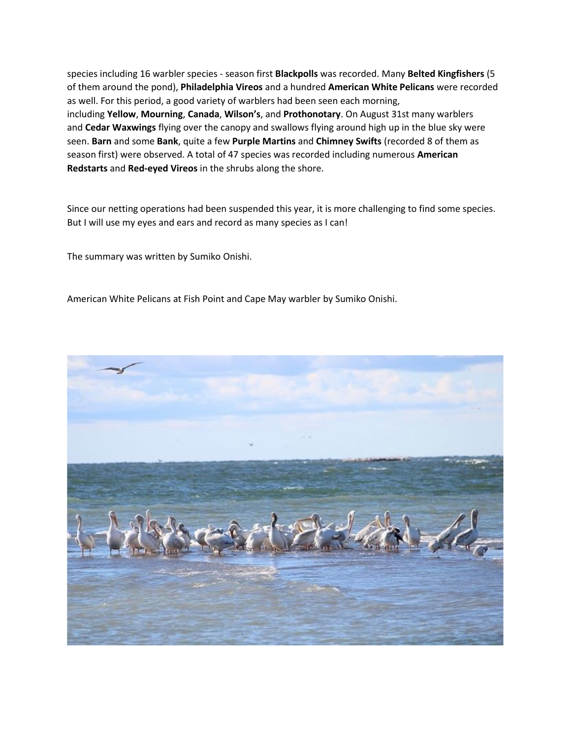species including 16 warbler species - season first **Blackpolls** was recorded. Many **Belted Kingfishers** (5 of them around the pond), **Philadelphia Vireos** and a hundred **American White Pelicans** were recorded as well. For this period, a good variety of warblers had been seen each morning, including **Yellow**, **Mourning**, **Canada**, **Wilson's**, and **Prothonotary**. On August 31st many warblers and **Cedar Waxwings** flying over the canopy and swallows flying around high up in the blue sky were seen. **Barn** and some **Bank**, quite a few **Purple Martins** and **Chimney Swifts** (recorded 8 of them as season first) were observed. A total of 47 species was recorded including numerous **American Redstarts** and **Red-eyed Vireos** in the shrubs along the shore.

Since our netting operations had been suspended this year, it is more challenging to find some species. But I will use my eyes and ears and record as many species as I can!

The summary was written by Sumiko Onishi.

American White Pelicans at Fish Point and Cape May warbler by Sumiko Onishi.